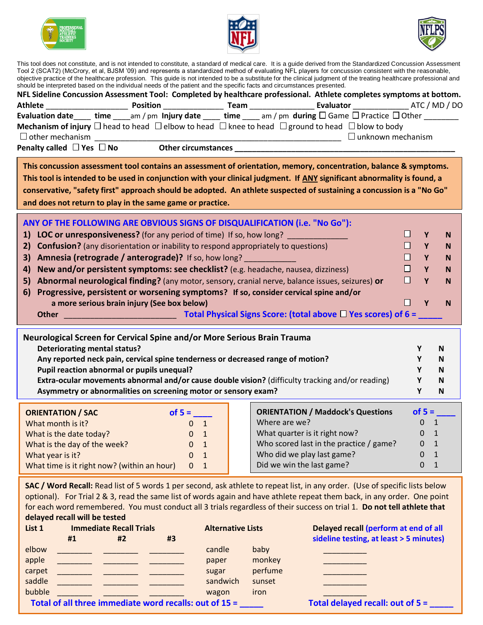





This tool does not constitute, and is not intended to constitute, a standard of medical care. It is a guide derived from the Standardized Concussion Assessment Tool 2 (SCAT2) (McCrory, et al, BJSM '09) and represents a standardized method of evaluating NFL players for concussion consistent with the reasonable, objective practice of the healthcare profession. This guide is not intended to be a substitute for the clinical judgment of the treating healthcare professional and should be interpreted based on the individual needs of the patient and the specific facts and circumstances presented.

| should be interpreted based on the individual needs of the patient and the specific facts and circumstances presented.<br>NFL Sideline Concussion Assessment Tool: Completed by healthcare professional. Athlete completes symptoms at bottom.                                                                                                                                                                                                                    |                                |                          |                                                       |                              |  |  |  |  |
|-------------------------------------------------------------------------------------------------------------------------------------------------------------------------------------------------------------------------------------------------------------------------------------------------------------------------------------------------------------------------------------------------------------------------------------------------------------------|--------------------------------|--------------------------|-------------------------------------------------------|------------------------------|--|--|--|--|
|                                                                                                                                                                                                                                                                                                                                                                                                                                                                   |                                |                          |                                                       |                              |  |  |  |  |
| Evaluation date time am/pm Injury date time am/pm during $\Box$ Game $\Box$ Practice $\Box$ Other                                                                                                                                                                                                                                                                                                                                                                 |                                |                          |                                                       |                              |  |  |  |  |
| <b>Mechanism of injury</b> $\Box$ head to head $\Box$ elbow to head $\Box$ knee to head $\Box$ ground to head $\Box$ blow to body                                                                                                                                                                                                                                                                                                                                 |                                |                          |                                                       |                              |  |  |  |  |
| $\Box$ other mechanism                                                                                                                                                                                                                                                                                                                                                                                                                                            |                                |                          | _________________________________ □ unknown mechanism |                              |  |  |  |  |
| Penalty called $\Box$ Yes $\Box$ No $\Box$ Other circumstances $\Box$ $\Box$ $\Box$ $\Box$ $\Box$                                                                                                                                                                                                                                                                                                                                                                 |                                |                          |                                                       |                              |  |  |  |  |
| This concussion assessment tool contains an assessment of orientation, memory, concentration, balance & symptoms.<br>This tool is intended to be used in conjunction with your clinical judgment. If ANY significant abnormality is found, a<br>conservative, "safety first" approach should be adopted. An athlete suspected of sustaining a concussion is a "No Go"<br>and does not return to play in the same game or practice.                                |                                |                          |                                                       |                              |  |  |  |  |
| ANY OF THE FOLLOWING ARE OBVIOUS SIGNS OF DISQUALIFICATION (i.e. "No Go"):                                                                                                                                                                                                                                                                                                                                                                                        |                                |                          |                                                       |                              |  |  |  |  |
|                                                                                                                                                                                                                                                                                                                                                                                                                                                                   |                                |                          |                                                       | ш<br>Y<br>N                  |  |  |  |  |
| 1) LOC or unresponsiveness? (for any period of time) If so, how long?<br>$\Box$<br><b>Confusion?</b> (any disorientation or inability to respond appropriately to questions)<br>Y<br>2)                                                                                                                                                                                                                                                                           |                                |                          |                                                       |                              |  |  |  |  |
| N<br><b>Amnesia (retrograde / anterograde)?</b> If so, how long?<br>$\Box$<br>3)<br>$\mathbf{Y}$<br>N                                                                                                                                                                                                                                                                                                                                                             |                                |                          |                                                       |                              |  |  |  |  |
| New and/or persistent symptoms: see checklist? (e.g. headache, nausea, dizziness)<br>$\Box$<br>4)<br>Y<br>N                                                                                                                                                                                                                                                                                                                                                       |                                |                          |                                                       |                              |  |  |  |  |
| $\Box$<br>Abnormal neurological finding? (any motor, sensory, cranial nerve, balance issues, seizures) or<br>Y<br>5)                                                                                                                                                                                                                                                                                                                                              |                                |                          |                                                       |                              |  |  |  |  |
| Progressive, persistent or worsening symptoms? If so, consider cervical spine and/or                                                                                                                                                                                                                                                                                                                                                                              |                                |                          |                                                       | N                            |  |  |  |  |
| 6)                                                                                                                                                                                                                                                                                                                                                                                                                                                                |                                |                          |                                                       | П<br>Y<br>N                  |  |  |  |  |
| a more serious brain injury (See box below)                                                                                                                                                                                                                                                                                                                                                                                                                       |                                |                          |                                                       |                              |  |  |  |  |
|                                                                                                                                                                                                                                                                                                                                                                                                                                                                   |                                |                          |                                                       |                              |  |  |  |  |
| Neurological Screen for Cervical Spine and/or More Serious Brain Trauma<br><b>Deteriorating mental status?</b><br>Any reported neck pain, cervical spine tenderness or decreased range of motion?<br>Pupil reaction abnormal or pupils unequal?<br>Extra-ocular movements abnormal and/or cause double vision? (difficulty tracking and/or reading)<br>Asymmetry or abnormalities on screening motor or sensory exam?                                             |                                |                          |                                                       |                              |  |  |  |  |
| <b>ORIENTATION / SAC</b>                                                                                                                                                                                                                                                                                                                                                                                                                                          |                                |                          | <b>ORIENTATION / Maddock's Questions</b>              | of $5 =$                     |  |  |  |  |
| What month is it?                                                                                                                                                                                                                                                                                                                                                                                                                                                 | $0 \t1$                        | Where are we?            |                                                       | $\mathbf{0}$<br>1            |  |  |  |  |
| What is the date today?                                                                                                                                                                                                                                                                                                                                                                                                                                           | $\mathbf{0}$<br>$\mathbf{1}$   |                          | What quarter is it right now?                         | $\mathbf{0}$<br>$\mathbf{1}$ |  |  |  |  |
| What is the day of the week?                                                                                                                                                                                                                                                                                                                                                                                                                                      | $\mathbf{1}$<br>0              |                          | Who scored last in the practice / game?               | $1\,$<br>0                   |  |  |  |  |
| What year is it?                                                                                                                                                                                                                                                                                                                                                                                                                                                  | $\mathbf{1}$<br>0              |                          | Who did we play last game?                            | $\mathbf{0}$<br>$\mathbf{1}$ |  |  |  |  |
| What time is it right now? (within an hour)                                                                                                                                                                                                                                                                                                                                                                                                                       | $\overline{0}$<br>$\mathbf{1}$ |                          | Did we win the last game?                             | $\mathbf{1}$<br>$\mathbf{0}$ |  |  |  |  |
| SAC / Word Recall: Read list of 5 words 1 per second, ask athlete to repeat list, in any order. (Use of specific lists below<br>optional). For Trial 2 & 3, read the same list of words again and have athlete repeat them back, in any order. One point<br>for each word remembered. You must conduct all 3 trials regardless of their success on trial 1. Do not tell athlete that<br>delayed recall will be tested<br><b>Immediate Recall Trials</b><br>List 1 |                                | <b>Alternative Lists</b> | Delayed recall (perform at end of all                 |                              |  |  |  |  |
| #2<br>#1<br>#3                                                                                                                                                                                                                                                                                                                                                                                                                                                    |                                |                          | sideline testing, at least > 5 minutes)               |                              |  |  |  |  |
| elbow                                                                                                                                                                                                                                                                                                                                                                                                                                                             | candle                         | baby                     |                                                       |                              |  |  |  |  |
| apple                                                                                                                                                                                                                                                                                                                                                                                                                                                             | paper                          | monkey                   |                                                       |                              |  |  |  |  |
| carpet                                                                                                                                                                                                                                                                                                                                                                                                                                                            | sugar                          | perfume                  |                                                       |                              |  |  |  |  |
| saddle                                                                                                                                                                                                                                                                                                                                                                                                                                                            | sandwich                       | sunset                   |                                                       |                              |  |  |  |  |
| bubble                                                                                                                                                                                                                                                                                                                                                                                                                                                            | wagon                          | iron                     |                                                       |                              |  |  |  |  |

 **Total of all three immediate word recalls: out of 15 = \_\_\_\_\_ Total delayed recall: out of 5 = \_\_\_\_\_**